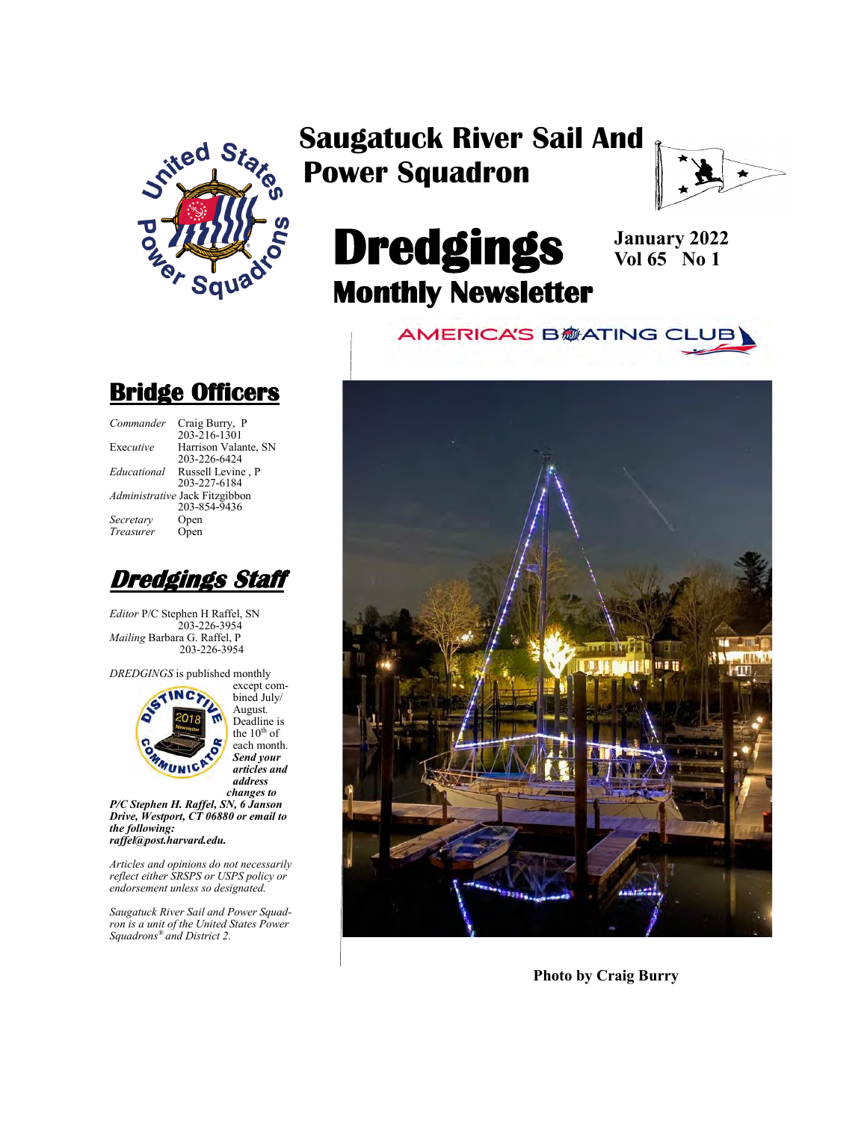

## **Saugatuck River Sail And Power Squadron**



# **Dredgings Monthly Newsletter**

**January 2022 Vol 65 No 1**

**AMERICA'S B@ATING CLUB** 



#### **Photo by Craig Burry**

### **Bridge Officers**

| Commander   | Craig Burry, P                 |
|-------------|--------------------------------|
|             | $203 - 216 - 1301$             |
| Executive   | Harrison Valante, SN           |
|             | 203-226-6424                   |
| Educational | Russell Levine, P              |
|             | 203-227-6184                   |
|             | Administrative Jack Fitzgibbon |
|             | 203-854-9436                   |
| Secretarv   | Open                           |
| Treasurer   | Open                           |
|             |                                |



*Editor* P/C Stephen H Raffel, SN 203-226-3954 *Mailing* Barbara G. Raffel, P 203-226-3954

*DREDGINGS* is published monthly



bined July/ August*.*  Deadline is the  $10<sup>th</sup>$  of each month. *Send your articles and address changes to*

*P/C Stephen H. Raffel, SN, 6 Janson Drive, Westport, CT 06880 or email to the following: raffel@post.harvard.edu.*

*Articles and opinions do not necessarily reflect either SRSPS or USPS policy or endorsement unless so designated.*

*Saugatuck River Sail and Power Squadron is a unit of the United States Power Squadrons® and District 2.*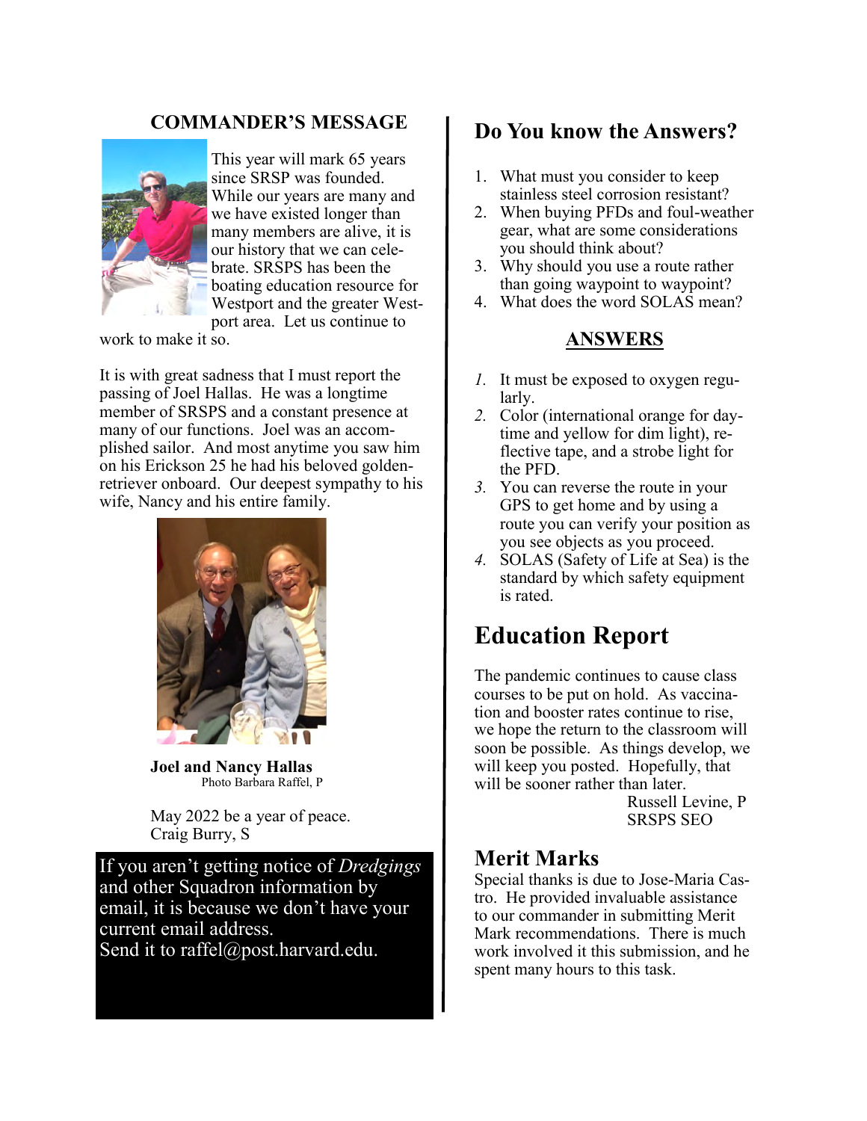#### **COMMANDER'S MESSAGE**



This year will mark 65 years since SRSP was founded. While our years are many and we have existed longer than many members are alive, it is our history that we can celebrate. SRSPS has been the boating education resource for Westport and the greater Westport area. Let us continue to

work to make it so.

It is with great sadness that I must report the passing of Joel Hallas. He was a longtime member of SRSPS and a constant presence at many of our functions. Joel was an accomplished sailor. And most anytime you saw him on his Erickson 25 he had his beloved goldenretriever onboard. Our deepest sympathy to his wife, Nancy and his entire family.



**Joel and Nancy Hallas** Photo Barbara Raffel, P

May 2022 be a year of peace. Craig Burry, S

If you aren't getting notice of *Dredgings* and other Squadron information by email, it is because we don't have your current email address. Send it to raffel@post.harvard.edu.

### **Do You know the Answers?**

- 1. What must you consider to keep stainless steel corrosion resistant?
- 2. When buying PFDs and foul-weather gear, what are some considerations you should think about?
- 3. Why should you use a route rather than going waypoint to waypoint?
- 4. What does the word SOLAS mean?

#### **ANSWERS**

- *1.* It must be exposed to oxygen regularly.
- *2.* Color (international orange for daytime and yellow for dim light), reflective tape, and a strobe light for the PFD.
- *3.* You can reverse the route in your GPS to get home and by using a route you can verify your position as you see objects as you proceed.
- *4.* SOLAS (Safety of Life at Sea) is the standard by which safety equipment is rated.

## **Education Report**

The pandemic continues to cause class courses to be put on hold. As vaccination and booster rates continue to rise, we hope the return to the classroom will soon be possible. As things develop, we will keep you posted. Hopefully, that will be sooner rather than later.

> Russell Levine, P SRSPS SEO

#### **Merit Marks**

Special thanks is due to Jose-Maria Castro. He provided invaluable assistance to our commander in submitting Merit Mark recommendations. There is much work involved it this submission, and he spent many hours to this task.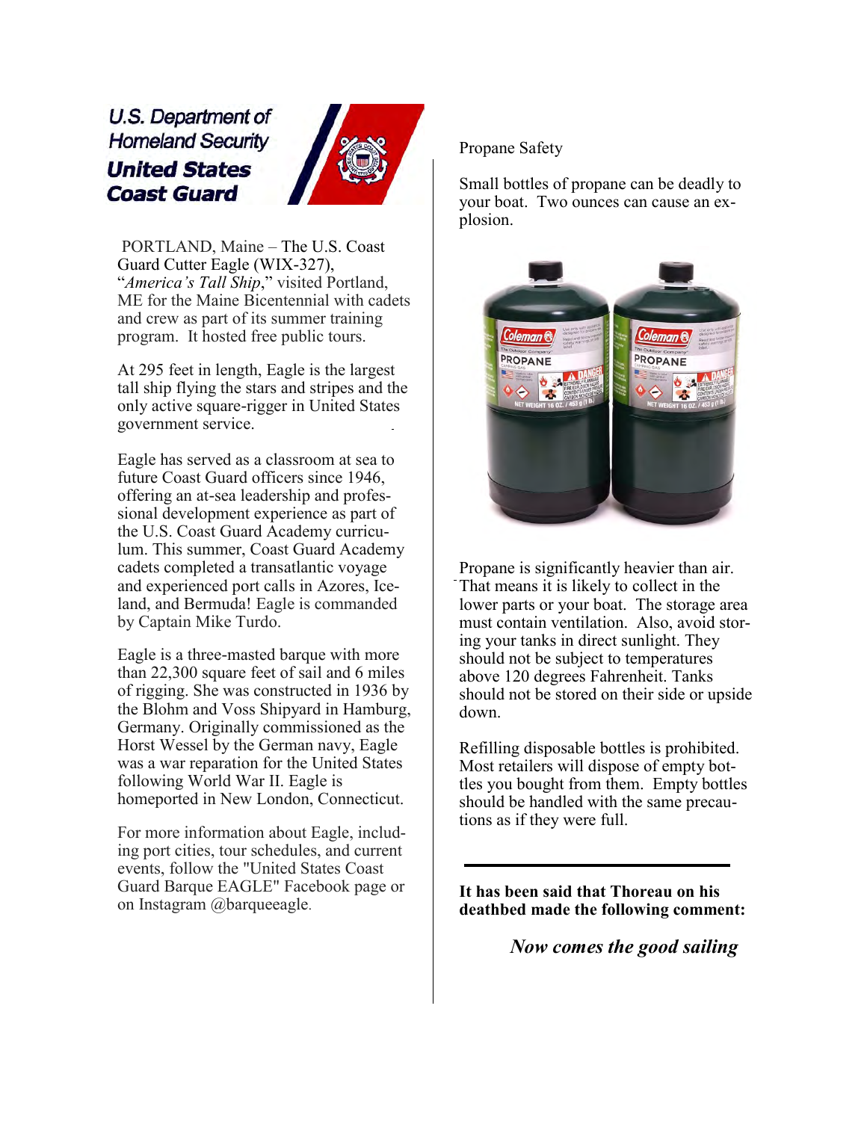U.S. Department of **Homeland Security United States Coast Guard** 



PORTLAND, Maine – The U.S. Coast Guard Cutter Eagle (WIX-327), "*America's Tall Ship*," visited Portland, ME for the Maine Bicentennial with cadets and crew as part of its summer training program. It hosted free public tours.

At 295 feet in length, Eagle is the largest tall ship flying the stars and stripes and the only active square-rigger in United States government service.

Eagle has served as a classroom at sea to future Coast Guard officers since 1946, offering an at-sea leadership and professional development experience as part of the U.S. Coast Guard Academy curriculum. This summer, Coast Guard Academy cadets completed a transatlantic voyage and experienced port calls in Azores, Iceland, and Bermuda! Eagle is commanded by Captain Mike Turdo.

Eagle is a three-masted barque with more than 22,300 square feet of sail and 6 miles of rigging. She was constructed in 1936 by the Blohm and Voss Shipyard in Hamburg, Germany. Originally commissioned as the Horst Wessel by the German navy, Eagle was a war reparation for the United States following World War II. Eagle is homeported in New London, Connecticut.

For more information about Eagle, including port cities, tour schedules, and current events, follow the "United States Coast Guard Barque EAGLE" Facebook page or on Instagram @barqueeagle.

Propane Safety

Small bottles of propane can be deadly to your boat. Two ounces can cause an explosion.



Propane is significantly heavier than air. That means it is likely to collect in the lower parts or your boat. The storage area must contain ventilation. Also, avoid storing your tanks in direct sunlight. They should not be subject to temperatures above 120 degrees Fahrenheit. Tanks should not be stored on their side or upside down.

Refilling disposable bottles is prohibited. Most retailers will dispose of empty bottles you bought from them. Empty bottles should be handled with the same precautions as if they were full.

**It has been said that Thoreau on his deathbed made the following comment:**

*Now comes the good sailing*